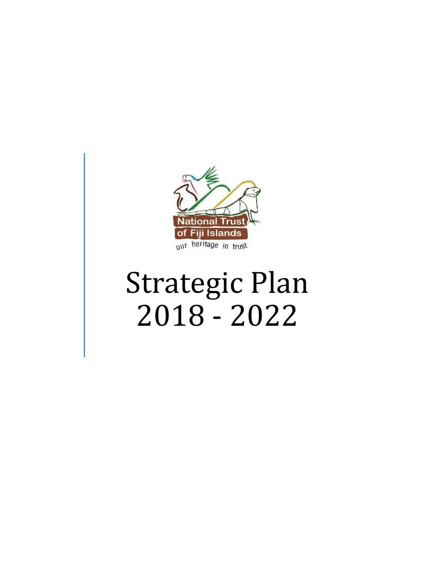

# Strategic Plan 2018 - 2022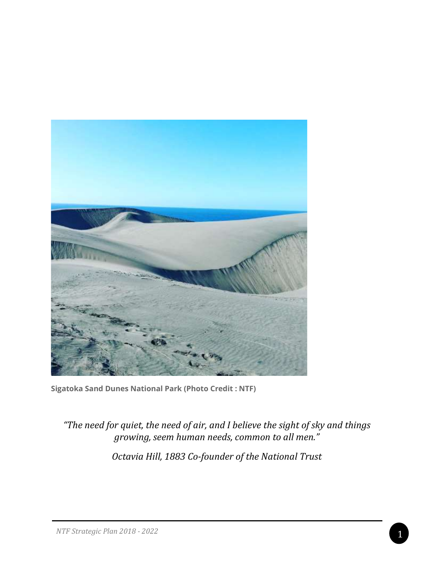

**Sigatoka Sand Dunes National Park (Photo Credit : NTF)**

*"The need for quiet, the need of air, and I believe the sight of sky and things growing, seem human needs, common to all men."*

*Octavia Hill, 1883 Co-founder of the National Trust*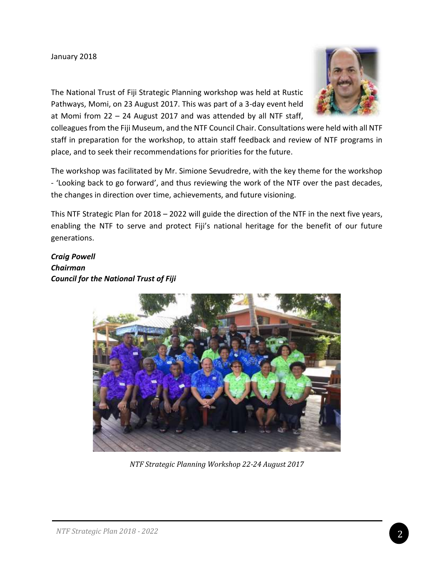#### January 2018



The National Trust of Fiji Strategic Planning workshop was held at Rustic Pathways, Momi, on 23 August 2017. This was part of a 3-day event held at Momi from 22 – 24 August 2017 and was attended by all NTF staff,

colleagues from the Fiji Museum, and the NTF Council Chair. Consultations were held with all NTF staff in preparation for the workshop, to attain staff feedback and review of NTF programs in place, and to seek their recommendations for priorities for the future.

The workshop was facilitated by Mr. Simione Sevudredre, with the key theme for the workshop - 'Looking back to go forward', and thus reviewing the work of the NTF over the past decades, the changes in direction over time, achievements, and future visioning.

This NTF Strategic Plan for 2018 – 2022 will guide the direction of the NTF in the next five years, enabling the NTF to serve and protect Fiji's national heritage for the benefit of our future generations.

*Craig Powell Chairman Council for the National Trust of Fiji*



*NTF Strategic Planning Workshop 22-24 August 2017*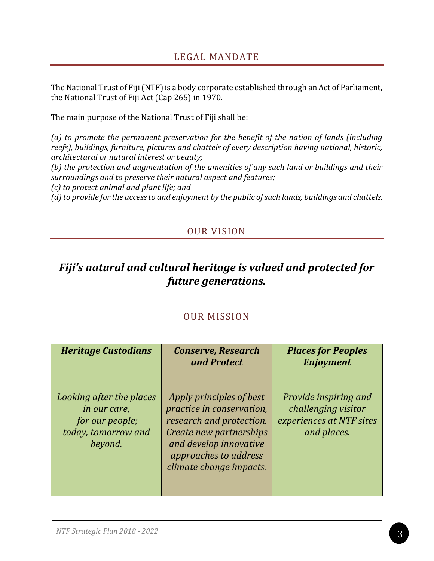The National Trust of Fiji (NTF) is a body corporate established through an Act of Parliament, the National Trust of Fiji Act (Cap 265) in 1970.

The main purpose of the National Trust of Fiji shall be:

*(a) to promote the permanent preservation for the benefit of the nation of lands (including reefs), buildings, furniture, pictures and chattels of every description having national, historic, architectural or natural interest or beauty;*

*(b) the protection and augmentation of the amenities of any such land or buildings and their surroundings and to preserve their natural aspect and features;*

*(c) to protect animal and plant life; and*

*(d) to provide for the access to and enjoyment by the public of such lands, buildings and chattels.*

## OUR VISION

## *Fiji's natural and cultural heritage is valued and protected for future generations.*

### OUR MISSION

| <b>Heritage Custodians</b>                                                                    | <b>Conserve, Research</b><br>and Protect                                                                                                                                                   | <b>Places for Peoples</b><br><b>Enjoyment</b>                                           |
|-----------------------------------------------------------------------------------------------|--------------------------------------------------------------------------------------------------------------------------------------------------------------------------------------------|-----------------------------------------------------------------------------------------|
| Looking after the places<br>in our care,<br>for our people;<br>today, tomorrow and<br>beyond. | Apply principles of best<br>practice in conservation,<br>research and protection.<br>Create new partnerships<br>and develop innovative<br>approaches to address<br>climate change impacts. | Provide inspiring and<br>challenging visitor<br>experiences at NTF sites<br>and places. |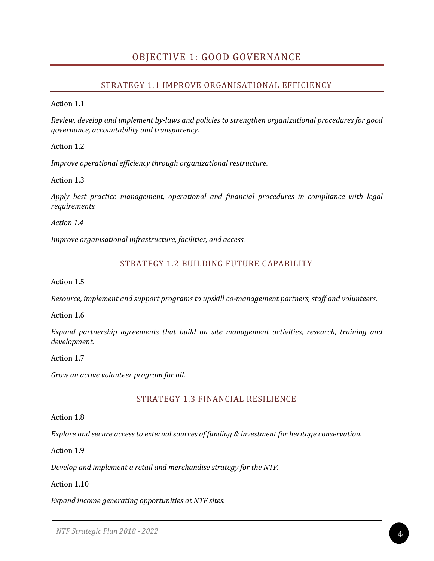## OBJECTIVE 1: GOOD GOVERNANCE

#### STRATEGY 1.1 IMPROVE ORGANISATIONAL EFFICIENCY

Action 1.1

*Review, develop and implement by-laws and policies to strengthen organizational procedures for good governance, accountability and transparency.*

Action 1.2

*Improve operational efficiency through organizational restructure.*

Action 1.3

*Apply best practice management, operational and financial procedures in compliance with legal requirements.*

*Action 1.4*

*Improve organisational infrastructure, facilities, and access.*

#### STRATEGY 1.2 BUILDING FUTURE CAPABILITY

Action 1.5

*Resource, implement and support programs to upskill co-management partners, staff and volunteers.*

Action 1.6

*Expand partnership agreements that build on site management activities, research, training and development.*

Action 1.7

*Grow an active volunteer program for all.*

STRATEGY 1.3 FINANCIAL RESILIENCE

Action 1.8

*Explore and secure access to external sources of funding & investment for heritage conservation.*

Action 1.9

*Develop and implement a retail and merchandise strategy for the NTF.*

Action 1.10

*Expand income generating opportunities at NTF sites.*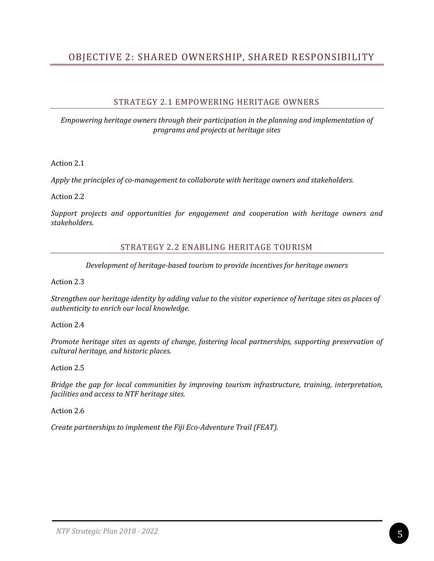## OBJECTIVE 2: SHARED OWNERSHIP, SHARED RESPONSIBILITY

#### STRATEGY 2.1 EMPOWERING HERITAGE OWNERS

*Empowering heritage owners through their participation in the planning and implementation of programs and projects at heritage sites*

Action 2.1

*Apply the principles of co-management to collaborate with heritage owners and stakeholders.*

Action 2.2

*Support projects and opportunities for engagement and cooperation with heritage owners and stakeholders.*

#### STRATEGY 2.2 ENABLING HERITAGE TOURISM

*Development of heritage-based tourism to provide incentives for heritage owners*

Action 2.3

*Strengthen our heritage identity by adding value to the visitor experience of heritage sites as places of authenticity to enrich our local knowledge.*

Action 2.4

*Promote heritage sites as agents of change, fostering local partnerships, supporting preservation of cultural heritage, and historic places.*

Action 2.5

*Bridge the gap for local communities by improving tourism infrastructure, training, interpretation, facilities and access to NTF heritage sites.*

Action 2.6

*Create partnerships to implement the Fiji Eco-Adventure Trail (FEAT).*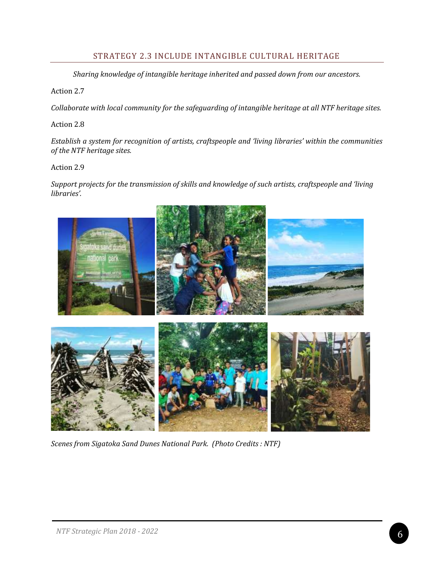#### STRATEGY 2.3 INCLUDE INTANGIBLE CULTURAL HERITAGE

*Sharing knowledge of intangible heritage inherited and passed down from our ancestors.*

Action 2.7

*Collaborate with local community for the safeguarding of intangible heritage at all NTF heritage sites.*

Action 2.8

*Establish a system for recognition of artists, craftspeople and 'living libraries' within the communities of the NTF heritage sites.*

Action 2.9

*Support projects for the transmission of skills and knowledge of such artists, craftspeople and 'living libraries'.*



*Scenes from Sigatoka Sand Dunes National Park. (Photo Credits : NTF)*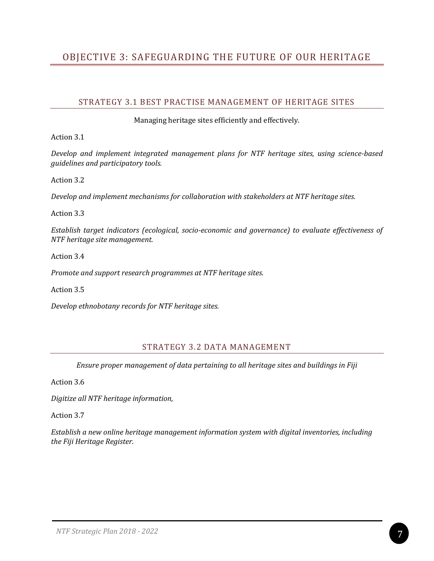## OBJECTIVE 3: SAFEGUARDING THE FUTURE OF OUR HERITAGE

#### STRATEGY 3.1 BEST PRACTISE MANAGEMENT OF HERITAGE SITES

Managing heritage sites efficiently and effectively.

Action 3.1

*Develop and implement integrated management plans for NTF heritage sites, using science-based guidelines and participatory tools.*

Action 3.2

*Develop and implement mechanisms for collaboration with stakeholders at NTF heritage sites.*

Action 3.3

*Establish target indicators (ecological, socio-economic and governance) to evaluate effectiveness of NTF heritage site management.*

Action 3.4

*Promote and support research programmes at NTF heritage sites.*

Action 3.5

*Develop ethnobotany records for NTF heritage sites.*

#### STRATEGY 3.2 DATA MANAGEMENT

*Ensure proper management of data pertaining to all heritage sites and buildings in Fiji*

Action 3.6

*Digitize all NTF heritage information,* 

Action 3.7

*Establish a new online heritage management information system with digital inventories, including the Fiji Heritage Register.*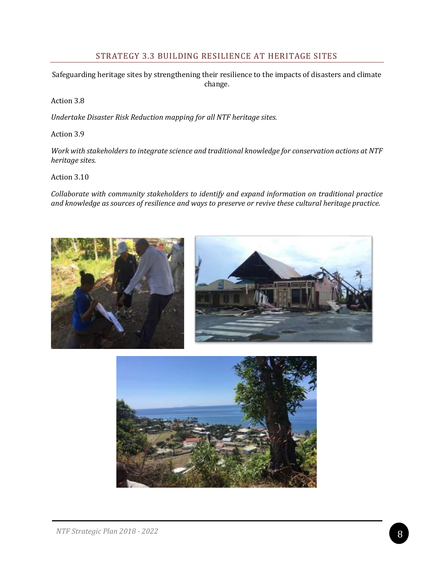#### STRATEGY 3.3 BUILDING RESILIENCE AT HERITAGE SITES

Safeguarding heritage sites by strengthening their resilience to the impacts of disasters and climate change.

Action 3.8

*Undertake Disaster Risk Reduction mapping for all NTF heritage sites.*

Action 3.9

*Work with stakeholders to integrate science and traditional knowledge for conservation actions at NTF heritage sites.*

Action 3.10

*Collaborate with community stakeholders to identify and expand information on traditional practice and knowledge as sources of resilience and ways to preserve or revive these cultural heritage practice.*



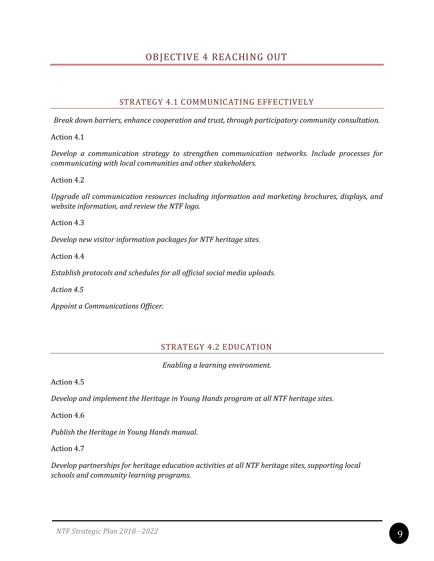## OBJECTIVE 4 REACHING OUT

#### STRATEGY 4.1 COMMUNICATING EFFECTIVELY

*Break down barriers, enhance cooperation and trust, through participatory community consultation.*

Action 4.1

*Develop a communication strategy to strengthen communication networks. Include processes for communicating with local communities and other stakeholders.*

Action 4.2

*Upgrade all communication resources including information and marketing brochures, displays, and website information, and review the NTF logo.*

Action 4.3

*Develop new visitor information packages for NTF heritage sites.*

Action 4.4

*Establish protocols and schedules for all official social media uploads.*

*Action 4.5*

*Appoint a Communications Officer.*

#### STRATEGY 4.2 EDUCATION

*Enabling a learning environment.*

Action 4.5

*Develop and implement the Heritage in Young Hands program at all NTF heritage sites.*

Action 4.6

*Publish the Heritage in Young Hands manual.*

Action 4.7

*Develop partnerships for heritage education activities at all NTF heritage sites, supporting local schools and community learning programs.*